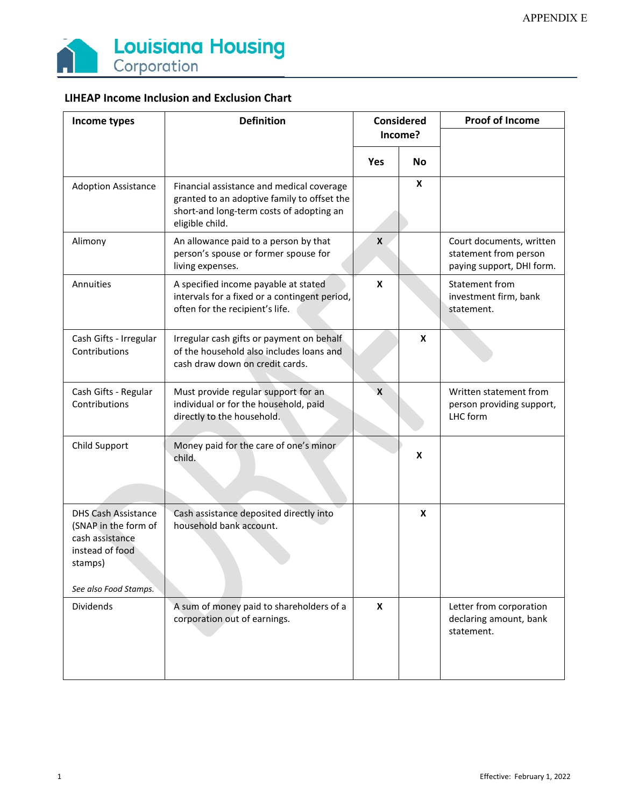

| Income types                                                                                                                 | <b>Definition</b>                                                                                                                                       | <b>Considered</b> |           | <b>Proof of Income</b>                                                         |
|------------------------------------------------------------------------------------------------------------------------------|---------------------------------------------------------------------------------------------------------------------------------------------------------|-------------------|-----------|--------------------------------------------------------------------------------|
|                                                                                                                              |                                                                                                                                                         | Income?           |           |                                                                                |
|                                                                                                                              |                                                                                                                                                         | Yes               | <b>No</b> |                                                                                |
| <b>Adoption Assistance</b>                                                                                                   | Financial assistance and medical coverage<br>granted to an adoptive family to offset the<br>short-and long-term costs of adopting an<br>eligible child. |                   | X         |                                                                                |
| Alimony                                                                                                                      | An allowance paid to a person by that<br>person's spouse or former spouse for<br>living expenses.                                                       | X                 |           | Court documents, written<br>statement from person<br>paying support, DHI form. |
| Annuities                                                                                                                    | A specified income payable at stated<br>intervals for a fixed or a contingent period,<br>often for the recipient's life.                                | X                 |           | Statement from<br>investment firm, bank<br>statement.                          |
| Cash Gifts - Irregular<br>Contributions                                                                                      | Irregular cash gifts or payment on behalf<br>of the household also includes loans and<br>cash draw down on credit cards.                                |                   | X         |                                                                                |
| Cash Gifts - Regular<br>Contributions                                                                                        | Must provide regular support for an<br>individual or for the household, paid<br>directly to the household.                                              | $\mathbf{x}$      |           | Written statement from<br>person providing support,<br>LHC form                |
| Child Support                                                                                                                | Money paid for the care of one's minor<br>child.                                                                                                        |                   | X         |                                                                                |
| <b>DHS Cash Assistance</b><br>(SNAP in the form of<br>cash assistance<br>instead of food<br>stamps)<br>See also Food Stamps. | Cash assistance deposited directly into<br>household bank account.                                                                                      |                   | X         |                                                                                |
| Dividends                                                                                                                    | A sum of money paid to shareholders of a<br>corporation out of earnings.                                                                                | X                 |           | Letter from corporation<br>declaring amount, bank<br>statement.                |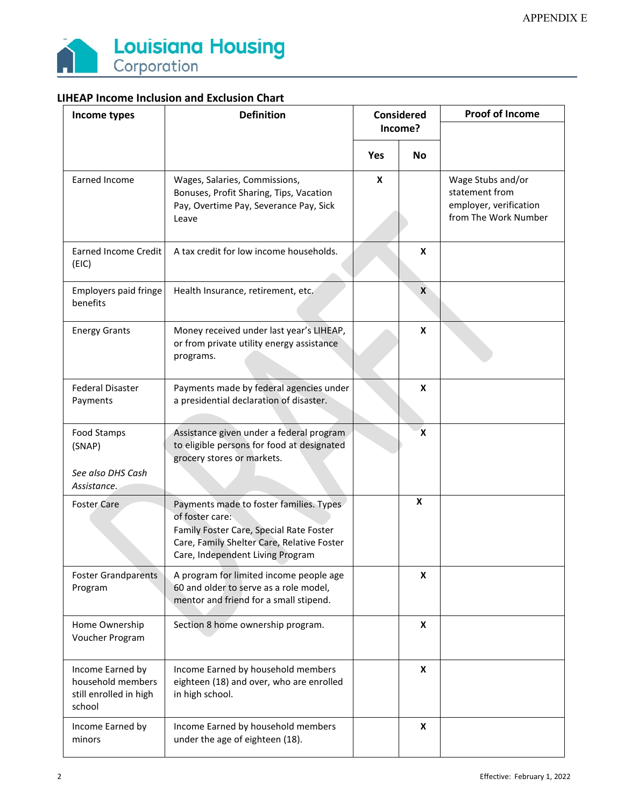

| Income types                                                              | <b>Definition</b>                                                                                                                                                                       | Considered<br>Income? |             | <b>Proof of Income</b>                                                                |
|---------------------------------------------------------------------------|-----------------------------------------------------------------------------------------------------------------------------------------------------------------------------------------|-----------------------|-------------|---------------------------------------------------------------------------------------|
|                                                                           |                                                                                                                                                                                         | <b>Yes</b>            | <b>No</b>   |                                                                                       |
| Earned Income                                                             | Wages, Salaries, Commissions,<br>Bonuses, Profit Sharing, Tips, Vacation<br>Pay, Overtime Pay, Severance Pay, Sick<br>Leave                                                             | X                     |             | Wage Stubs and/or<br>statement from<br>employer, verification<br>from The Work Number |
| <b>Earned Income Credit</b><br>(EIC)                                      | A tax credit for low income households.                                                                                                                                                 |                       | X           |                                                                                       |
| Employers paid fringe<br>benefits                                         | Health Insurance, retirement, etc.                                                                                                                                                      |                       | X           |                                                                                       |
| <b>Energy Grants</b>                                                      | Money received under last year's LIHEAP,<br>or from private utility energy assistance<br>programs.                                                                                      |                       | X           |                                                                                       |
| <b>Federal Disaster</b><br>Payments                                       | Payments made by federal agencies under<br>a presidential declaration of disaster.                                                                                                      |                       | X           |                                                                                       |
| Food Stamps<br>(SNAP)<br>See also DHS Cash<br>Assistance.                 | Assistance given under a federal program<br>to eligible persons for food at designated<br>grocery stores or markets.                                                                    |                       | $\mathbf x$ |                                                                                       |
| <b>Foster Care</b>                                                        | Payments made to foster families. Types<br>of foster care:<br>Family Foster Care, Special Rate Foster<br>Care, Family Shelter Care, Relative Foster<br>Care, Independent Living Program |                       | X           |                                                                                       |
| <b>Foster Grandparents</b><br>Program                                     | A program for limited income people age<br>60 and older to serve as a role model,<br>mentor and friend for a small stipend.                                                             |                       | X           |                                                                                       |
| Home Ownership<br>Voucher Program                                         | Section 8 home ownership program.                                                                                                                                                       |                       | X           |                                                                                       |
| Income Earned by<br>household members<br>still enrolled in high<br>school | Income Earned by household members<br>eighteen (18) and over, who are enrolled<br>in high school.                                                                                       |                       | X           |                                                                                       |
| Income Earned by<br>minors                                                | Income Earned by household members<br>under the age of eighteen (18).                                                                                                                   |                       | X           |                                                                                       |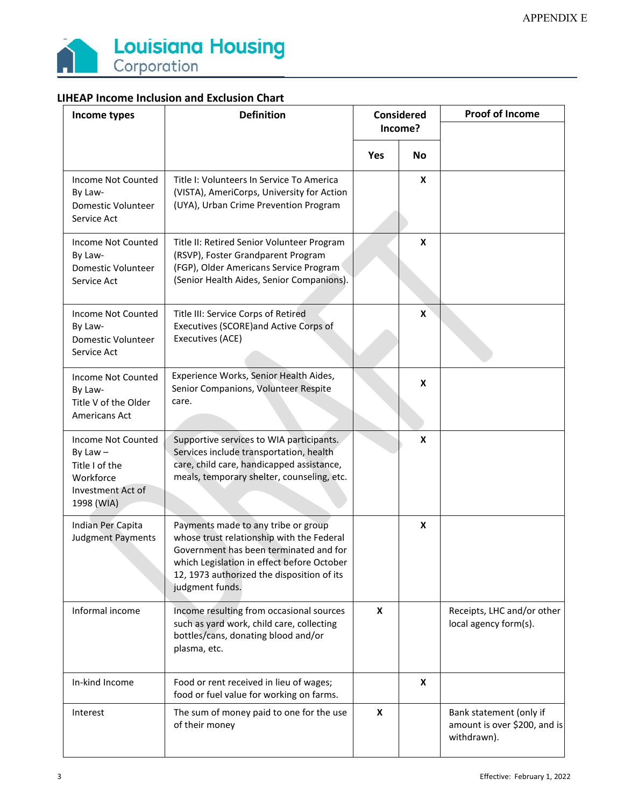

| Income types                                                                                       | <b>Definition</b>                                                                                                                                                                                                                         | <b>Considered</b><br>Income? |           | <b>Proof of Income</b>                                                 |
|----------------------------------------------------------------------------------------------------|-------------------------------------------------------------------------------------------------------------------------------------------------------------------------------------------------------------------------------------------|------------------------------|-----------|------------------------------------------------------------------------|
|                                                                                                    |                                                                                                                                                                                                                                           | Yes                          | <b>No</b> |                                                                        |
| Income Not Counted<br>By Law-<br>Domestic Volunteer<br>Service Act                                 | Title I: Volunteers In Service To America<br>(VISTA), AmeriCorps, University for Action<br>(UYA), Urban Crime Prevention Program                                                                                                          |                              | X         |                                                                        |
| Income Not Counted<br>By Law-<br>Domestic Volunteer<br>Service Act                                 | Title II: Retired Senior Volunteer Program<br>(RSVP), Foster Grandparent Program<br>(FGP), Older Americans Service Program<br>(Senior Health Aides, Senior Companions).                                                                   |                              | X         |                                                                        |
| Income Not Counted<br>By Law-<br>Domestic Volunteer<br>Service Act                                 | Title III: Service Corps of Retired<br>Executives (SCORE) and Active Corps of<br>Executives (ACE)                                                                                                                                         |                              | X         |                                                                        |
| Income Not Counted<br>By Law-<br>Title V of the Older<br><b>Americans Act</b>                      | Experience Works, Senior Health Aides,<br>Senior Companions, Volunteer Respite<br>care.                                                                                                                                                   |                              | X         |                                                                        |
| Income Not Counted<br>By Law $-$<br>Title I of the<br>Workforce<br>Investment Act of<br>1998 (WIA) | Supportive services to WIA participants.<br>Services include transportation, health<br>care, child care, handicapped assistance,<br>meals, temporary shelter, counseling, etc.                                                            |                              | x         |                                                                        |
| Indian Per Capita<br><b>Judgment Payments</b>                                                      | Payments made to any tribe or group<br>whose trust relationship with the Federal<br>Government has been terminated and for<br>which Legislation in effect before October<br>12, 1973 authorized the disposition of its<br>judgment funds. |                              | X         |                                                                        |
| Informal income                                                                                    | Income resulting from occasional sources<br>such as yard work, child care, collecting<br>bottles/cans, donating blood and/or<br>plasma, etc.                                                                                              | X                            |           | Receipts, LHC and/or other<br>local agency form(s).                    |
| In-kind Income                                                                                     | Food or rent received in lieu of wages;<br>food or fuel value for working on farms.                                                                                                                                                       |                              | X         |                                                                        |
| Interest                                                                                           | The sum of money paid to one for the use<br>of their money                                                                                                                                                                                | X                            |           | Bank statement (only if<br>amount is over \$200, and is<br>withdrawn). |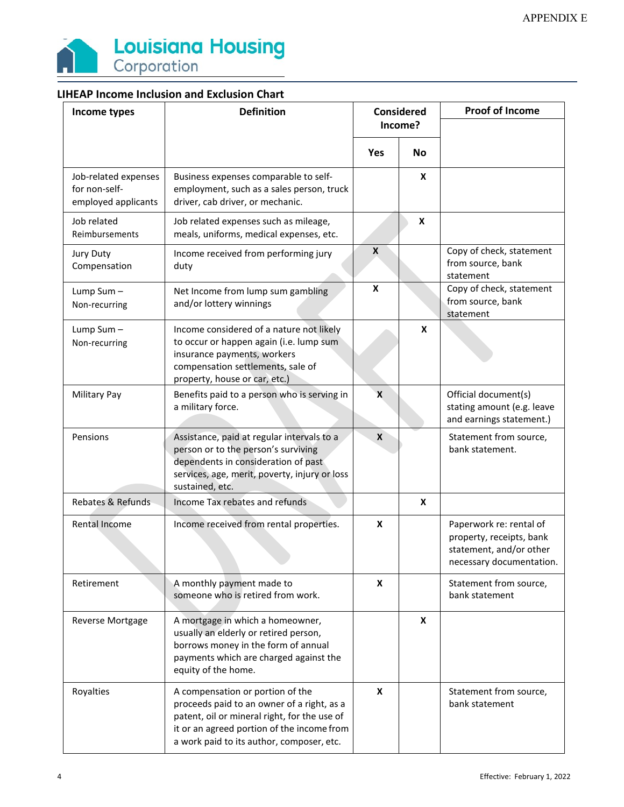

| Income types                                                 | <b>Definition</b>                                                                                                                                                                                                         | <b>Considered</b><br>Income? |           | <b>Proof of Income</b>                                                                                     |
|--------------------------------------------------------------|---------------------------------------------------------------------------------------------------------------------------------------------------------------------------------------------------------------------------|------------------------------|-----------|------------------------------------------------------------------------------------------------------------|
|                                                              |                                                                                                                                                                                                                           |                              |           |                                                                                                            |
|                                                              |                                                                                                                                                                                                                           | Yes                          | <b>No</b> |                                                                                                            |
| Job-related expenses<br>for non-self-<br>employed applicants | Business expenses comparable to self-<br>employment, such as a sales person, truck<br>driver, cab driver, or mechanic.                                                                                                    |                              | X         |                                                                                                            |
| Job related<br>Reimbursements                                | Job related expenses such as mileage,<br>meals, uniforms, medical expenses, etc.                                                                                                                                          |                              | X         |                                                                                                            |
| Jury Duty<br>Compensation                                    | Income received from performing jury<br>duty                                                                                                                                                                              | X                            |           | Copy of check, statement<br>from source, bank<br>statement                                                 |
| Lump Sum-<br>Non-recurring                                   | Net Income from lump sum gambling<br>and/or lottery winnings                                                                                                                                                              | X                            |           | Copy of check, statement<br>from source, bank<br>statement                                                 |
| Lump Sum-<br>Non-recurring                                   | Income considered of a nature not likely<br>to occur or happen again (i.e. lump sum<br>insurance payments, workers<br>compensation settlements, sale of<br>property, house or car, etc.)                                  |                              | X         |                                                                                                            |
| <b>Military Pay</b>                                          | Benefits paid to a person who is serving in<br>a military force.                                                                                                                                                          | X                            |           | Official document(s)<br>stating amount (e.g. leave<br>and earnings statement.)                             |
| Pensions                                                     | Assistance, paid at regular intervals to a<br>person or to the person's surviving<br>dependents in consideration of past<br>services, age, merit, poverty, injury or loss<br>sustained, etc.                              | X                            |           | Statement from source,<br>bank statement.                                                                  |
| Rebates & Refunds                                            | Income Tax rebates and refunds                                                                                                                                                                                            |                              | X         |                                                                                                            |
| Rental Income                                                | Income received from rental properties.                                                                                                                                                                                   | X                            |           | Paperwork re: rental of<br>property, receipts, bank<br>statement, and/or other<br>necessary documentation. |
| Retirement                                                   | A monthly payment made to<br>someone who is retired from work.                                                                                                                                                            | X                            |           | Statement from source,<br>bank statement                                                                   |
| Reverse Mortgage                                             | A mortgage in which a homeowner,<br>usually an elderly or retired person,<br>borrows money in the form of annual<br>payments which are charged against the<br>equity of the home.                                         |                              | X         |                                                                                                            |
| Royalties                                                    | A compensation or portion of the<br>proceeds paid to an owner of a right, as a<br>patent, oil or mineral right, for the use of<br>it or an agreed portion of the income from<br>a work paid to its author, composer, etc. | X                            |           | Statement from source,<br>bank statement                                                                   |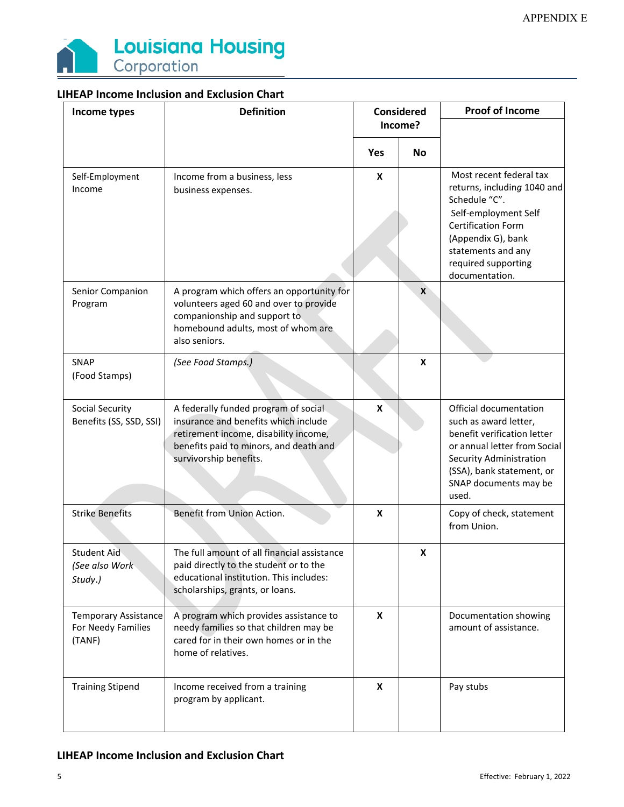

| Income types                                                | <b>Definition</b>                                                                                                                                                                         | <b>Considered</b><br>Income? |              |                                                                                                                                                                                                                   |  | <b>Proof of Income</b> |
|-------------------------------------------------------------|-------------------------------------------------------------------------------------------------------------------------------------------------------------------------------------------|------------------------------|--------------|-------------------------------------------------------------------------------------------------------------------------------------------------------------------------------------------------------------------|--|------------------------|
|                                                             |                                                                                                                                                                                           |                              |              |                                                                                                                                                                                                                   |  |                        |
|                                                             |                                                                                                                                                                                           | Yes                          | <b>No</b>    |                                                                                                                                                                                                                   |  |                        |
| Self-Employment<br>Income                                   | Income from a business, less<br>business expenses.                                                                                                                                        | X                            |              | Most recent federal tax<br>returns, including 1040 and<br>Schedule "C".<br>Self-employment Self<br><b>Certification Form</b><br>(Appendix G), bank<br>statements and any<br>required supporting<br>documentation. |  |                        |
| Senior Companion<br>Program                                 | A program which offers an opportunity for<br>volunteers aged 60 and over to provide<br>companionship and support to<br>homebound adults, most of whom are<br>also seniors.                |                              | $\mathbf{x}$ |                                                                                                                                                                                                                   |  |                        |
| SNAP<br>(Food Stamps)                                       | (See Food Stamps.)                                                                                                                                                                        |                              | X            |                                                                                                                                                                                                                   |  |                        |
| Social Security<br>Benefits (SS, SSD, SSI)                  | A federally funded program of social<br>insurance and benefits which include<br>retirement income, disability income,<br>benefits paid to minors, and death and<br>survivorship benefits. | X                            |              | Official documentation<br>such as award letter,<br>benefit verification letter<br>or annual letter from Social<br>Security Administration<br>(SSA), bank statement, or<br>SNAP documents may be<br>used.          |  |                        |
| <b>Strike Benefits</b>                                      | Benefit from Union Action.                                                                                                                                                                | X                            |              | Copy of check, statement<br>from Union.                                                                                                                                                                           |  |                        |
| <b>Student Aid</b><br>(See also Work<br>Study.)             | The full amount of all financial assistance<br>paid directly to the student or to the<br>educational institution. This includes:<br>scholarships, grants, or loans.                       |                              | X            |                                                                                                                                                                                                                   |  |                        |
| <b>Temporary Assistance</b><br>For Needy Families<br>(TANF) | A program which provides assistance to<br>needy families so that children may be<br>cared for in their own homes or in the<br>home of relatives.                                          | X                            |              | Documentation showing<br>amount of assistance.                                                                                                                                                                    |  |                        |
| <b>Training Stipend</b>                                     | Income received from a training<br>program by applicant.                                                                                                                                  | X                            |              | Pay stubs                                                                                                                                                                                                         |  |                        |